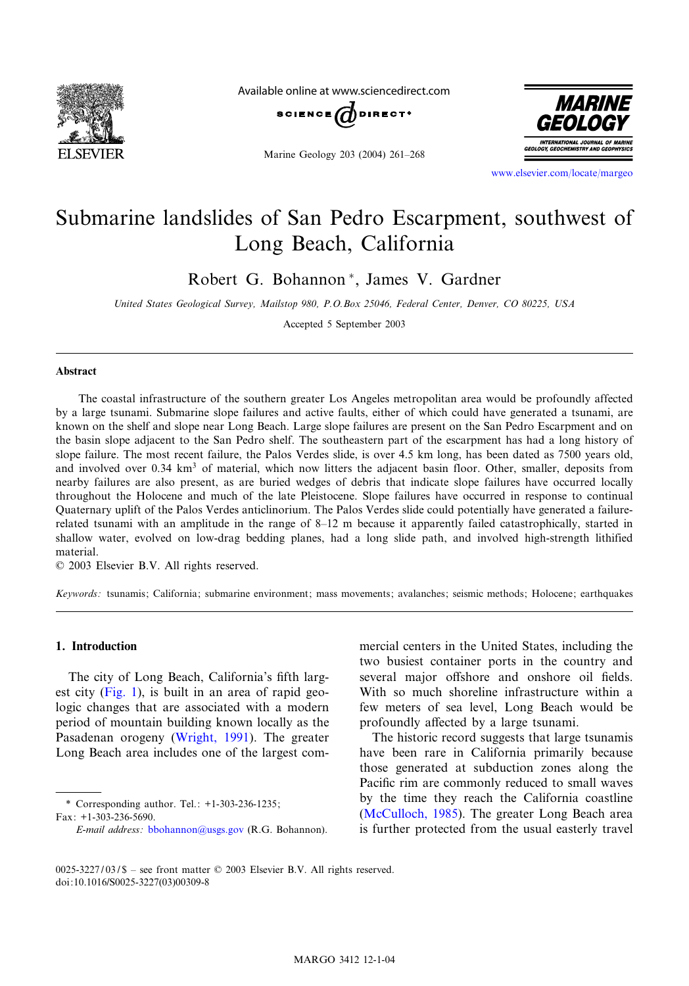

Available online at www.sciencedirect.com

SCIENCE  $\widehat{a}$ 

Marine Geology 203 (2004) 261^268



www.elsevier.com/locate/margeo

# Submarine landslides of San Pedro Escarpment, southwest of Long Beach, California

Robert G. Bohannon<sup>\*</sup>, James V. Gardner

United States Geological Survey, Mailstop 980, P.O.Box 25046, Federal Center, Denver, CO 80225, USA

Accepted 5 September 2003

#### Abstract

The coastal infrastructure of the southern greater Los Angeles metropolitan area would be profoundly affected by a large tsunami. Submarine slope failures and active faults, either of which could have generated a tsunami, are known on the shelf and slope near Long Beach. Large slope failures are present on the San Pedro Escarpment and on the basin slope adjacent to the San Pedro shelf. The southeastern part of the escarpment has had a long history of slope failure. The most recent failure, the Palos Verdes slide, is over 4.5 km long, has been dated as 7500 years old, and involved over 0.34 km<sup>3</sup> of material, which now litters the adjacent basin floor. Other, smaller, deposits from nearby failures are also present, as are buried wedges of debris that indicate slope failures have occurred locally throughout the Holocene and much of the late Pleistocene. Slope failures have occurred in response to continual Quaternary uplift of the Palos Verdes anticlinorium. The Palos Verdes slide could potentially have generated a failurerelated tsunami with an amplitude in the range of 8^12 m because it apparently failed catastrophically, started in shallow water, evolved on low-drag bedding planes, had a long slide path, and involved high-strength lithified material.

 $© 2003 Elsevier B.V. All rights reserved.$ 

Keywords: tsunamis; California; submarine environment; mass movements; avalanches; seismic methods; Holocene; earthquakes

# 1. Introduction

The city of Long Beach, California's fifth largest city (Fig. 1), is built in an area of rapid geologic changes that are associated with a modern period of mountain building known locally as the Pasadenan orogeny (Wright, 1991). The greater Long Beach are[a includes one of t](mailto:bbohannon@usgs.gov)he largest com-

\* Corresponding author. Tel.: +1-303-236-1235; Fax: +1-303-236-5690.

mercial centers in the United States, including the two busiest container ports in the country and several major offshore and onshore oil fields. With so much shoreline infrastructure within a few meters of sea level, Long Beach would be profoundly affected by a large tsunami.

[The historic reco](#page-7-0)rd suggests that large tsunamis have been rare in California primarily because those generated at subduction zones along the Pacific rim are commonly reduced to small waves by the time they reach the California coastline (McCulloch, 1985). The greater Long Beach area is further protected from the usual easterly travel

E-mail address: bbohannon@usgs.gov (R.G. Bohannon).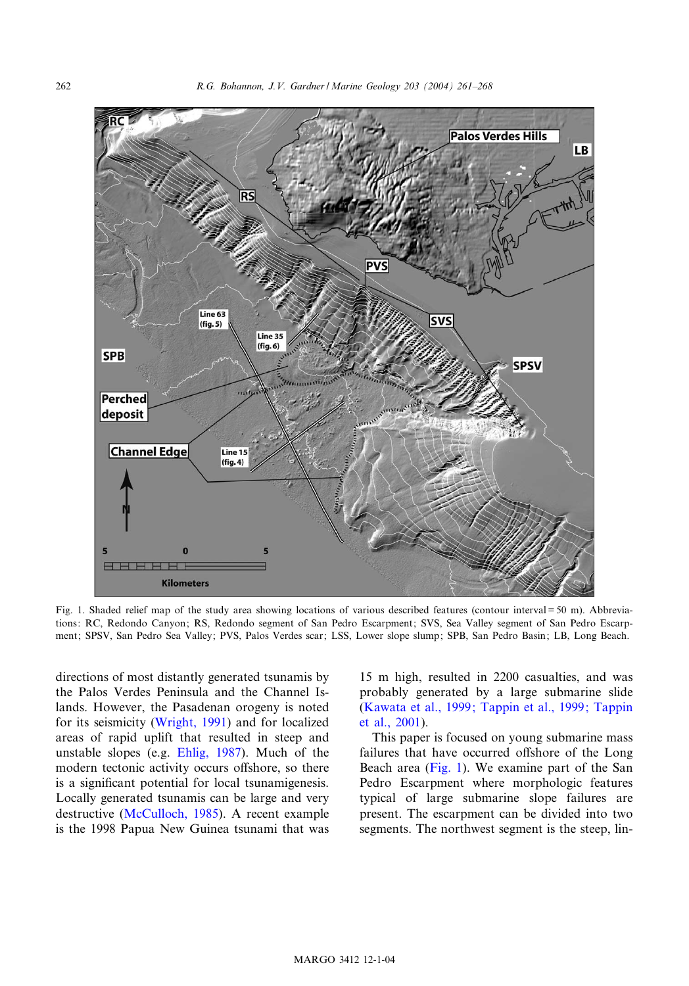<span id="page-1-0"></span>

Fig. 1. Shaded relief map of the study area showing locations of various described features (contour interval = 50 m). Abbreviations: RC, Redondo Canyon; RS, Redondo segment of San Pedro Escarpment; SVS, Sea Valley segment of San Pedro Escarpment; SPSV, San Ped[ro Sea Valley; PV](#page-7-0)S, Palos Verdes scar; LSS, [Lower slope slump;](#page-7-0) [SPB,](#page-7-0) [San](#page-7-0) [Pedro](#page-7-0) [Basin;](#page-7-0) [LB,](#page-7-0) [Long](#page-7-0) [Beach.](#page-7-0)

directions of most dist[antly genera](#page-7-0)ted tsunamis by the Palos Verdes Peninsula and the Channel Islands. However, the Pasadenan orogeny is noted for its seismicity (Wright, 1991) and for localized areas of ra[pid uplift that res](#page-7-0)ulted in steep and unstable slopes (e.g. Ehlig, 1987). Much of the modern tectonic activity occurs offshore, so there is a significant potential for local tsunamigenesis. Locally generated tsunamis can be large and very destructive (McCulloch, 1985). A recent example is the 1998 Papua New Guinea tsunami that was

15 m high, resulted in 2200 casualties, and was probably generated by a large submarine slide (Kawata et al., 1999; Tappin et al., 1999; Tappin et al., 2001).

This paper is focused on young submarine mass failures that have occurred offshore of the Long Beach area (Fig. 1). We examine part of the San Pedro Escarpment where morphologic features typical of large submarine slope failures are present. The escarpment can be divided into two segments. The northwest segment is the steep, lin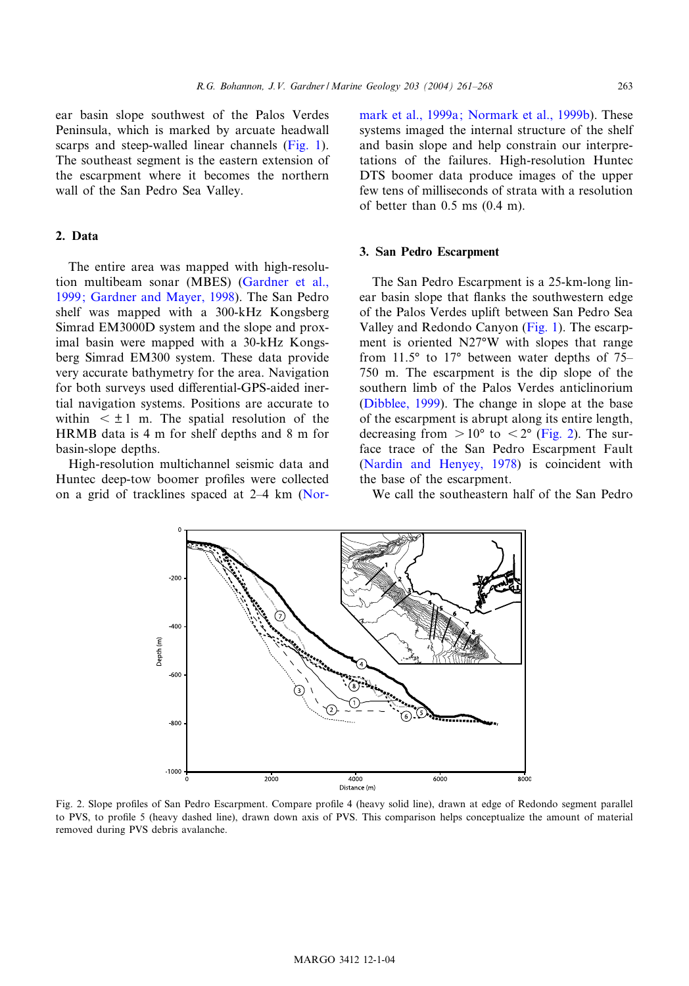<span id="page-2-0"></span>ear basin slope southwest of the Palos Verdes Peninsula, which is marked by arcuate headwall scarps and steep-walled linear channels (Fig. 1). The southeast segment is the eastern extension of the escarpment where it becomes the northern wall of the San Pedro Sea Valley.

#### 2. Data

The entire area was mapped with high-resolution multibeam sonar (MBES) (Gardner et al., 1999; Gardner and Mayer, 1998). The San Pedro shelf was mapped with a 300-kHz Kongsberg Simrad EM3000D system and the slope and proximal basin were mapped with a 30-kHz Kongsberg Simrad EM300 system. These data provide very accurate bathymetry for the area. Navigation for both surveys used differential-GPS-aided inertial navigation systems. Positions are accurate to within  $\leq \pm 1$  m. The spatial resolution o[f the](#page-7-0) HRMB data is 4 m for shelf depths and 8 m for basin-slope depths.

High-resolution multichannel seismic data and Huntec deep-tow boomer profiles were collected on a grid of tracklines spaced at  $2-4$  km (Normark et al., 1999a; Normark et al., 1999b). These systems imaged the internal structure of the shelf and basin slope and help constrain our interpretations of the failures. High-resolution Huntec DTS boomer data produce images of the upper few tens of milliseconds of strata with a resolution of better than 0.5 ms (0.4 m).

#### 3. San Pedro Escarpment

The San Pedro Escarpment is a 25-km-long linear basin slope that flanks the southwestern edge of the Palos Verdes uplift between San Pedro Sea [Valley and Red](#page-7-0)ondo Canyon (Fig. 1). The escarpment is oriented N27°W with slopes that range from  $11.5^{\circ}$  to  $17^{\circ}$  between water depths of 75– 750 m. The escarpment is the dip slope of the [southern limb of the Palos](#page-7-0) Verdes anticlinorium (Dibblee, 1999). The change in slope at the base of the escarpment is abrupt along its entire length, decreasing from  $> 10^{\circ}$  to  $< 2^{\circ}$  (Fig. 2). The surface trace of the San Pedro Escarpment Fault (Nardin and Henyey, 1978) is coincident with the base of the escarpment.

We call the southeastern half of the San Pedro



Fig. 2. Slope profiles of San Pedro Escarpment. Compare profile 4 (heavy solid line), drawn at edge of Redondo segment parallel to PVS, to profile 5 (heavy dashed line), drawn down axis of PVS. This comparison helps conceptualize the amount of material removed during PVS debris avalanche.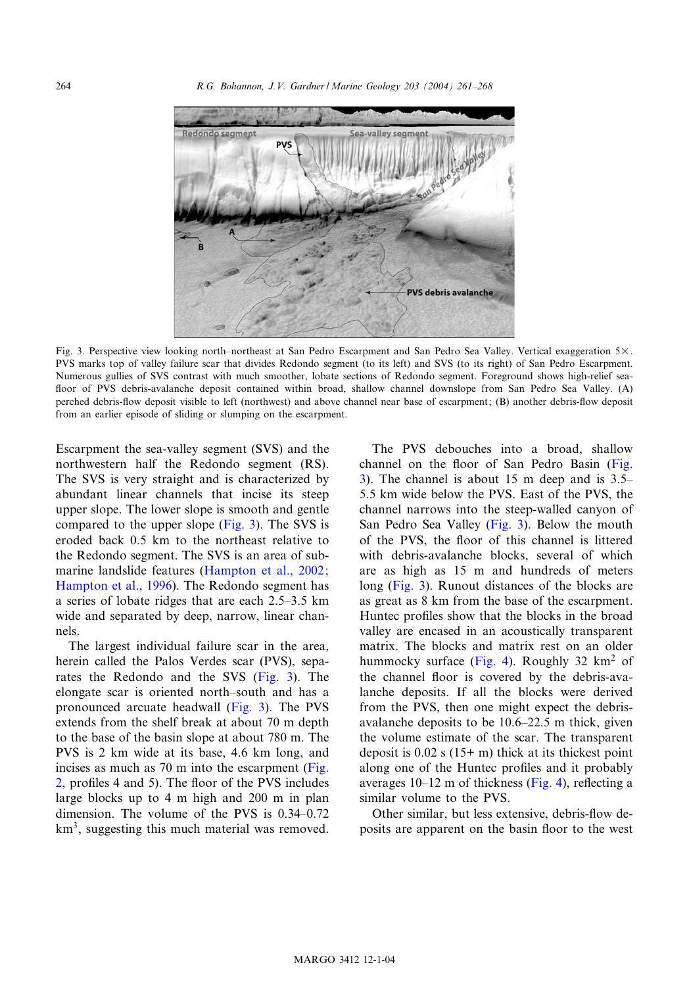<span id="page-3-0"></span>264 R.G. Bohannon, J.V. Gardner / Marine Geology 203 (2004) 261^268



Fig. 3. Perspective view looking north-northeast at San Pedro Escarpment and San Pedro Sea Valley. Vertical exaggeration 5×. PVS marks top of valley failure scar that divides Redondo segment (to its left) and SVS (to its right) of San Pedro Escarpment. Numerous gullies of SVS contrast with much smoother, lobate sections of Redondo segment. Foreground shows high-relief sea floor of PVS debris-avalanche deposit contained within broad, shallow channel downslope from San Pedro Sea Valley. (A) perched debris-flow deposit visible to left (northwest) and above channel near base of escarpment; (B) another debris-flow deposit from an earlier episode of sliding or slumping on the escarpment.

Escarpment the sea-valley segment (SVS) and the northwestern half the Redondo segment (RS). The SVS is very straight and is characterized by abundant linear channels [that incise its steep](#page-7-0) [upper slope. The lowe](#page-7-0)r slope is smooth and gentle compared to the upper slope (Fig. 3). The SVS is eroded back 0.5 km to the northeast relative to the Redondo segment. The SVS is an area of submarine landslide features (Hampton et al., 2002; Hampton et al., 1996). The Redondo segment has a series of lobate ridges that are each 2.5^3.5 km wide and separated by deep, narrow, linear channels.

The largest individual failure scar in the area, herein called the Palos Verdes scar (PVS), separates the Redondo and the SVS (Fig. 3). The elongate scar is oriented north^south and h[as a](#page-2-0) [p](#page-2-0)ronounced arcuate headwall (Fig. 3). The PVS extends from the shelf break at about 70 m depth to the base of the basin slope at about 780 m. The PVS is 2 km wide at its base, 4.6 km long, and incises as much as 70 m into the escarpment (Fig. 2, profiles 4 and 5). The floor of the PVS includes large blocks up to 4 m high and 200 m in plan dimension. The volume of the PVS is  $0.34-0.72$ km<sup>3</sup>, suggesting this much material was removed.

The PVS debouches into a broad, shallow channel on the floor of San Pedro Basin (Fig. 3). The channel is about 15 m deep and is 3.5^ 5.5 km wide below the PVS. East of the PVS, the channel narrows into the steep-walled canyon of San Pedro Sea Valley (Fig. 3). Below the mouth of the PVS, the floor of this channel is littered with debris-avalanche blocks, several of which are as high as 15 m and hundreds of meters long (Fig. 3). Runo[ut dista](#page-4-0)nces of the blocks are as great as 8 km from the base of the escarpment. Huntec profiles show that the blocks in the broad valley are encased in an acoustically transparent matrix. The blocks and matrix rest on an older hummocky surface (Fig. 4). Roughly 32  $km<sup>2</sup>$  of the channel floor is covered by the debris-avalanche deposits. If all the blocks were derived from the PVS, then one might [expec](#page-4-0)t the debrisavalanche deposits to be 10.6^22.5 m thick, given the volume estimate of the scar. The transparent deposit is  $0.02$  s  $(15+m)$  thick at its thickest point along one of the Huntec profiles and it probably averages  $10-12$  m of thickness (Fig. 4), reflecting a similar volume to the PVS.

Other similar, but less extensive, debris-flow deposits are apparent on the basin floor to the west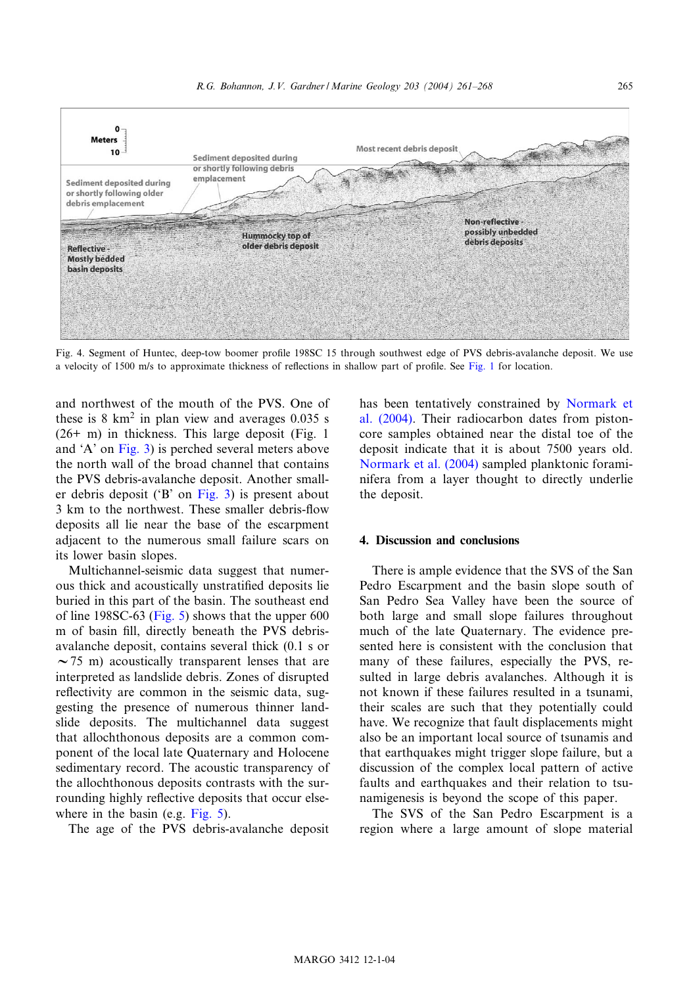<span id="page-4-0"></span>

Fig. 4. Segment of Huntec, deep-tow boomer profile [198SC 1](#page-1-0)5 thro[ugh](#page-7-0) [southwe](#page-7-0)st edge of PVS debris-avalanche deposit. We use a velocity of [1500 m/s](#page-3-0) to approximate thickness of reflections in shallow part of profile. See Fig. 1 for location.

and northwest of the mouth of the PVS. One of these is  $8 \text{ km}^2$  in plan vi[ew and](#page-3-0) averages 0.035 s (26+ m) in thickness. This large deposit (Fig. 1 and 'A' on Fig. 3) is perched several meters above the north wall of the broad channel that contains the PVS debris-avalanche deposit. Another smaller debris deposit ('B' on Fig. 3) is present about 3 km to the northwest. These smaller debris-flow deposits all lie near the base of the escarpment adjacent to the [numero](#page-5-0)us small failure scars on its lower basin slopes.

Multichannel-seismic data suggest that numerous thick and acoustically unstratified deposits lie buried in this part of the basin. The southeast end of line 198SC-63 (Fig. 5) shows that the upper 600 m of basin fill, directly beneath the PVS debrisavalanche deposit, contains several thick (0.1 s or  $\sim$ 75 m) acoustically transparent lenses that are interpreted as landslide debris. Zones of disrupted reflectivity are common in the seismic data, suggesting the presence of numerous thinner landslide deposits. The multichannel data suggest that allochthonous dep[osits ar](#page-5-0)e a common component of the local late Quaternary and Holocene sedimentary record. The acoustic transparency of the allochthonous deposits contrasts with the surrounding highly reflective deposits that occur elsewhere in the basin (e.g. Fig. 5).

The age of the PVS debris-avalanche deposit

has been tentatively constrained by Normark et al. (2004). Their radiocarbon dates from pistoncore samples obtained near the distal toe of the deposit indicate that it is about 7500 years old. Normark et al. (2004) sampled planktonic foraminifera from a layer thought to directly underlie the deposit.

### 4. Discussion and conclusions

There is ample evidence that the SVS of the San Pedro Escarpment and the basin slope south of San Pedro Sea Valley have been the source of both large and small slope failures throughout much of the late Quaternary. The evidence presented here is consistent with the conclusion that many of these failures, especially the PVS, resulted in large debris avalanches. Although it is not known if these failures resulted in a tsunami, their scales are such that they potentially could have. We recognize that fault displacements might also be an important local source of tsunamis and that earthquakes might trigger slope failure, but a discussion of the complex local pattern of active faults and earthquakes and their relation to tsunamigenesis is beyond the scope of this paper.

The SVS of the San Pedro Escarpment is a region where a large amount of slope material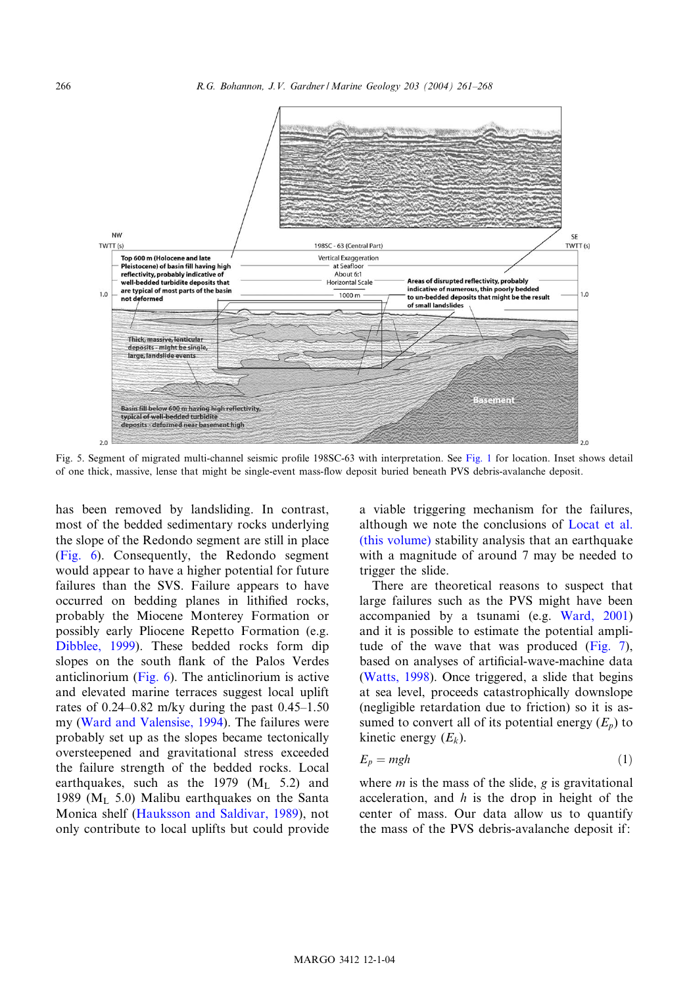<span id="page-5-0"></span>266 R.G. Bohannon, J.V. Gardner / Marine Geology 203 (2004) 261^268



Fig. 5. Segment of migrated multi-channel seismic profile 198SC-63 [with interpretatio](#page-7-0)n. See Fig. 1 for location. Ins[et](#page-7-0) [shows](#page-7-0) [detail](#page-7-0) [of one thi](#page-6-0)ck, massive, lense that might be single-event mass-£ow deposit buried beneath PVS debris-avalanche deposit.

has been removed by landsliding. In contrast, most of the bedded sedimentary rocks underlying the slope of the Redondo segment are still in place (Fig. 6). Consequently, the Redondo segment [would appear t](#page-7-0)o have a higher potential for future failures than the SVS. Failure appears to have occurred on [beddin](#page-6-0)g planes in lithified rocks, probably the Miocene Monterey Formation or possibly early Pliocene Repetto Formation (e.g. Dib[blee, 1999\). These bedde](#page-7-0)d rocks form dip slopes on the south flank of the Palos Verdes anticlinorium (Fig. 6). The anticlinorium is active and elevated marine terraces suggest local uplift rates of  $0.24$ -0.82 m/ky during the past  $0.45$ -1.50 my (Ward and Valensise, 1994). The failures were probably set u[p as the slopes became tecton](#page-7-0)ically oversteepened and gravitational stress exceeded the failure strength of the bedded rocks. Local earthquakes, such as the 1979  $(M<sub>L</sub> 5.2)$  and 1989 ( $M<sub>L</sub>$  5.0) Malibu earthquakes on the Santa Monica shelf (Hauksson and Saldivar, 1989), not only contribute to local uplifts but could provide a viable triggering mechanism for the failures, although we note the conclusions of Locat et al. (this volume) stability analysis that [an earthquake](#page-7-0) with a magnitude of around 7 may be needed to trigger the slide.

There are theoretical reasons to suspect that l[arge failures](#page-7-0) such as the PVS might have been accompanied by a tsunami (e.g. Ward, 2001) and it is possible to estimate the potential amplitude of the wave that was produced (Fig. 7), based on analyses of artificial-wave-machine data (Watts, 1998). Once triggered, a slide that begins at sea level, proceeds catastrophically downslope (negligible retardation due to friction) so it is assumed to convert all of its potential energy  $(E_n)$  to kinetic energy  $(E_k)$ .

$$
E_p = mgh \tag{1}
$$

where  $m$  is the mass of the slide,  $g$  is gravitational acceleration, and  $h$  is the drop in height of the center of mass. Our data allow us to quantify the mass of the PVS debris-avalanche deposit if: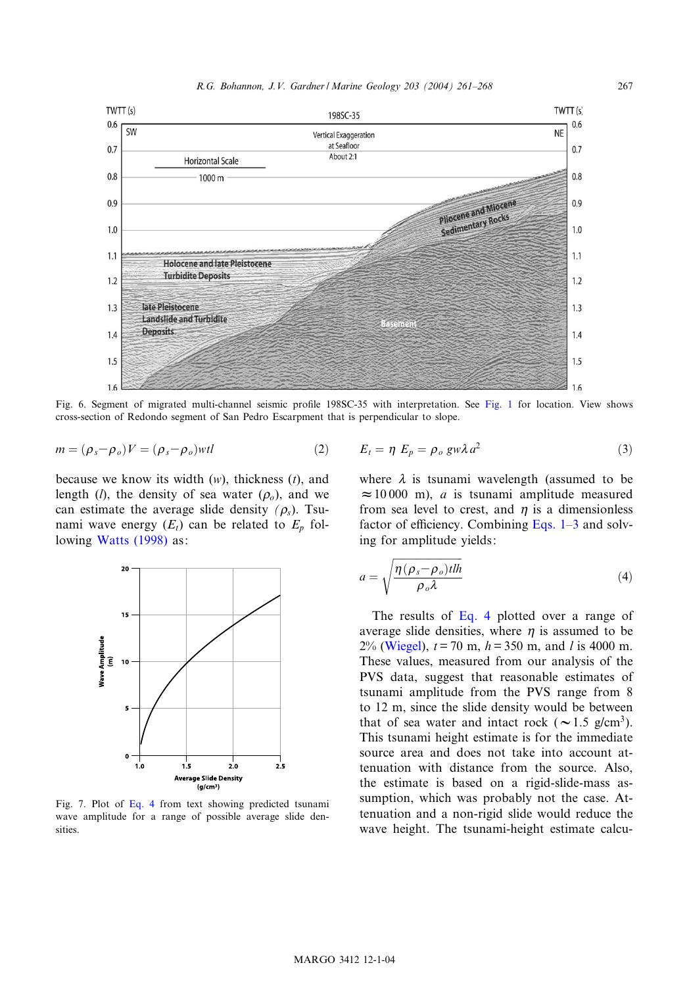<span id="page-6-0"></span>

Fig. 6. Segment of migrated multi-channel seismic profile 198SC-35 with interpretation. See Fig. 1 for location. View shows cross-section of Redondo segment of San Pedro Escarpment that is perpendicular to slope.

$$
m = (\rho_s - \rho_o)V = (\rho_s - \rho_o)wtl \qquad (2) \qquad E_t = \eta \ E_p = \rho_o \ g w \lambda a^2 \qquad (3)
$$

because we know its width  $(w)$ , thickness  $(t)$ , and length (*l*), the density of sea water  $(\rho_o)$ , and we can estimate the average slide density  $(\rho_s)$ . Tsunami wave energy  $(E_t)$  can be related to  $E_p$  following Watts (1998) as:



Fig. 7. Plot of Eq. 4 from text showing predicted tsunami wave amplitude for a range of possible average slide densities.

where 
$$
\lambda
$$
 is tsunami wavelength (assumed to be  $\approx 10000$  m), a is tsunami amplitude measured from sea level to crest, and  $\eta$  is a dimensionless

factor of efficiency. Combining Eqs.  $1-3$  and solv-

ing for amplitude yields:  
\n
$$
a = \sqrt{\frac{\eta(\rho_s - \rho_o)tlh}{\rho_o \lambda}}
$$
\n(4)

The results of Eq. 4 plotted over a range of average slide densities, where  $\eta$  is assumed to be 2% (Wiegel),  $t = 70$  m,  $h = 350$  m, and l is 4000 m. These values, measured from our analysis of the PVS data, suggest that reasonable estimates of tsunami amplitude from the PVS range from 8 to 12 m, since the slide density would be between that of sea water and intact rock ( $\sim$ 1.5 g/cm<sup>3</sup>). This tsunami height estimate is for the immediate source area and does not take into account attenuation with distance from the source. Also, the estimate is based on a rigid-slide-mass assumption, which was probably not the case. Attenuation and a non-rigid slide would reduce the wave height. The tsunami-height estimate calcu